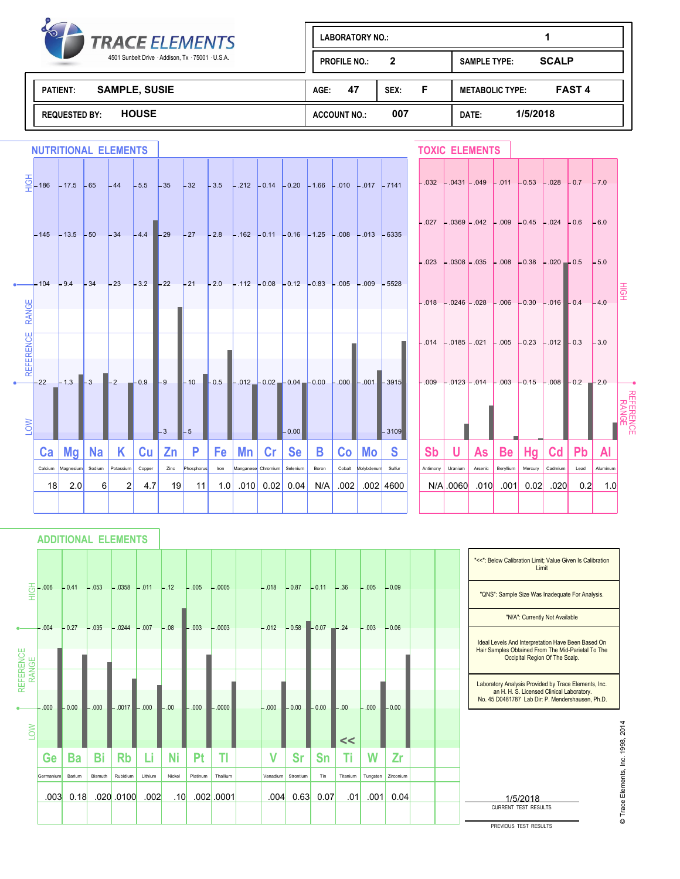

| $\blacklozenge$<br><b>TRACE ELEMENTS</b>          | <b>LABORATORY NO.:</b>     |                                         |  |  |
|---------------------------------------------------|----------------------------|-----------------------------------------|--|--|
| 4501 Sunbelt Drive · Addison, Tx · 75001 · U.S.A. | 2<br><b>PROFILE NO.:</b>   | <b>SCALP</b><br><b>SAMPLE TYPE:</b>     |  |  |
| <b>SAMPLE, SUSIE</b><br><b>PATIENT:</b>           | 47<br>F<br>SEX:<br>AGE:    | <b>FAST 4</b><br><b>METABOLIC TYPE:</b> |  |  |
| <b>HOUSE</b><br><b>REQUESTED BY:</b>              | 007<br><b>ACCOUNT NO.:</b> | 1/5/2018<br>DATE:                       |  |  |

|                       | <b>NUTRITIONAL ELEMENTS</b> |           |           |           |        |                 |            |      |                    |      |           |                                                                                                             |        |            |                                                                                                                                                                                                            |           | <b>TOXIC ELEMENTS</b>                                     |         |           |         |                |                                                                  |          |                    |
|-----------------------|-----------------------------|-----------|-----------|-----------|--------|-----------------|------------|------|--------------------|------|-----------|-------------------------------------------------------------------------------------------------------------|--------|------------|------------------------------------------------------------------------------------------------------------------------------------------------------------------------------------------------------------|-----------|-----------------------------------------------------------|---------|-----------|---------|----------------|------------------------------------------------------------------|----------|--------------------|
|                       |                             |           |           |           |        |                 |            |      |                    |      |           | $\overline{\frac{6}{5}}$ -186 -17.5 -65 -44 -5.5 -35 -32 -3.5 -.212 -0.14 -0.20 -1.66 -.010 -.017 -7141     |        |            |                                                                                                                                                                                                            |           |                                                           |         |           |         |                | $-.032$ $-.0431$ $-.049$ $-.011$ $-.053$ $-.028$ $-.0.7$ $-.70$  |          |                    |
|                       |                             |           |           |           |        |                 |            |      |                    |      |           | $-145$ $-13.5$ $-50$ $-34$ $-4.4$ $-29$ $-27$ $-2.8$ $-162$ $-0.11$ $-0.16$ $-1.25$ $-0.08$ $-0.13$ $-6335$ |        |            |                                                                                                                                                                                                            |           | $-.027$ $-.0369$ $-.042$ $-.009$ $-.0.45$ $-.024$ $-.0.6$ |         |           |         |                |                                                                  | $-6.0$   |                    |
|                       |                             |           |           |           |        |                 |            |      |                    |      |           | --104 -9.4 -34 -23 -3.2 -22 -21 -2.0 -.112 -0.08 -0.12 -0.83 -.005 -.009 -5528                              |        |            |                                                                                                                                                                                                            |           | $-.023$ $-.0308$ $-.035$ $-.008$ $-.0.38$ $-.020$ $-.0.5$ |         |           |         |                |                                                                  | $-5.0$   |                    |
| <b>RANGE</b>          |                             |           |           |           |        |                 |            |      |                    |      |           |                                                                                                             |        |            |                                                                                                                                                                                                            |           |                                                           |         |           |         |                | $-.018$ $-.0246$ $-.028$ $-.006$ $-.030$ $-.016$ $-.0.4$ $-.4.0$ |          | 耍                  |
| <b>REFERENC</b>       |                             |           |           |           |        |                 |            |      |                    |      |           |                                                                                                             |        |            |                                                                                                                                                                                                            |           | $-.014$ $-.0185$ $-.021$ $-.005$ $-.0.23$ $-.012$ $-.0.3$ |         |           |         |                |                                                                  | $-3.0$   |                    |
| $\overline{\text{S}}$ | $-22$                       |           |           |           |        | $\mathsf{L}_3$  | $L_5$      |      |                    |      | $-0.00$   |                                                                                                             |        |            | $-1.3$ $-3$ $-2$ $-0.9$ $-9$ $-10$ $-0.5$ $-0.01$ $-0.02$ $-0.04$ $-0.00$ $-0.00$ $-0.01$ $-0.03$ $-0.03$ $-0.04$ $-0.00$ $-0.07$ $-0.03$ $-0.04$ $-0.00$ $-0.03$ $-0.15$ $-0.08$ $-0.2$ $-2.0$<br>$-3109$ |           |                                                           |         |           |         |                |                                                                  |          | REFERENCE<br>RANGE |
|                       | Ca <sub>1</sub>             | ∣ Mg∣     | <b>Na</b> | K.        | Cu     | Zn              | P          | Fe   | Mn                 | Cr   | <b>Se</b> | B                                                                                                           | Co     | Mo         | <b>S</b>                                                                                                                                                                                                   | <b>Sb</b> | U                                                         | As      | <b>Be</b> | Hg      | C <sub>d</sub> | <b>Pb</b>                                                        | Al       |                    |
|                       | Calcium                     | Magnesium | Sodium    | Potassium | Copper | Zinc            | Phosphorus | Iron | Manganese Chromium |      | Selenium  | Boron                                                                                                       | Cobalt | Molybdenum | Sulfur                                                                                                                                                                                                     | Antimony  | Uranium                                                   | Arsenic | Beryllium | Mercury | Cadmium        | Lead                                                             | Aluminum |                    |
|                       | 18                          | 2.0       | $6 \mid$  | 2         | 4.7    | 19 <sup>1</sup> | 11         | 1.0  | .010               | 0.02 | 0.04      | N/A                                                                                                         | .002   |            | $.002 \,   \, 4600$                                                                                                                                                                                        |           | N/A 0060                                                  | .010    | .001      | 0.02    | .020           | 0.2                                                              | 1.0      |                    |
|                       |                             |           |           |           |        |                 |            |      |                    |      |           |                                                                                                             |        |            |                                                                                                                                                                                                            |           |                                                           |         |           |         |                |                                                                  |          |                    |

**ADDITIONAL ELEMENTS**

|                    |           |         |         |                  |         |                  |          |                |          |                |         |          |          |           |  | "<<": Below Calibration Limit; Value Given Is Calibration<br>Limit                                                                                    |
|--------------------|-----------|---------|---------|------------------|---------|------------------|----------|----------------|----------|----------------|---------|----------|----------|-----------|--|-------------------------------------------------------------------------------------------------------------------------------------------------------|
| 퓧                  | .006      | $-0.41$ | $-.053$ | $-.0358$ $-.011$ |         | $-.12$           | $-.005$  | $-.0005$       | $-.018$  | $-0.87$        | $-0.11$ | $-.36$   | $-.005$  | $-0.09$   |  | "QNS": Sample Size Was Inadequate For Analysis.                                                                                                       |
|                    |           |         |         |                  |         |                  |          |                |          |                |         |          |          |           |  | "N/A": Currently Not Available                                                                                                                        |
|                    | $-0.04$   | $-0.27$ | $-.035$ | $-.0244$         | $-.007$ | $-.08$           | $-.003$  | $-.0003$       | $-.012$  | $-0.58 - 0.07$ |         | $-24$    | $-.003$  | $-0.06$   |  | Ideal Levels And Interpretation Have Been Based On<br>Hair Samples Obtained From The Mid-Parietal To The<br>Occipital Region Of The Scalp.            |
| REFERENCE<br>RANGE | $-.000$   | $-0.00$ | $-.000$ | $-.0017 - .000$  |         | $-0.00$          | $-.000$  | $-.0000$       | $-0.000$ | $-0.00$        | $-0.00$ | $-.00$   | $-.000$  | $-0.00$   |  | Laboratory Analysis Provided by Trace Elements, Inc.<br>an H. H. S. Licensed Clinical Laboratory.<br>No. 45 D0481787 Lab Dir: P. Mendershausen, Ph.D. |
| NOT                |           |         |         |                  |         |                  |          |                |          |                |         | <<       |          |           |  | 2014                                                                                                                                                  |
|                    | Ge        | Ba      | Bi      | <b>Rb</b>        | Li      | <b>Ni</b>        | Pt       | TI             |          | <b>Sr</b>      | Sn      | Ti       | W        | Zr        |  | 1998,                                                                                                                                                 |
|                    | Germanium | Barium  | Bismuth | Rubidium         | Lithium | Nickel           | Platinum | Thallium       | Vanadium | Strontium      | Tin     | Titanium | Tungsten | Zirconium |  |                                                                                                                                                       |
|                    | .003      | 0.18    |         | $.020$ $.0100$   | .002    | .10 <sub>l</sub> |          | $.002$ $.0001$ | .004     | 0.63           | 0.07    | .01      | .001     | 0.04      |  | © Trace Elements, Inc.<br>1/5/2018<br><b>CURRENT TEST RESULTS</b>                                                                                     |
|                    |           |         |         |                  |         |                  |          |                |          |                |         |          |          |           |  | PREVIOUS TEST RESULTS                                                                                                                                 |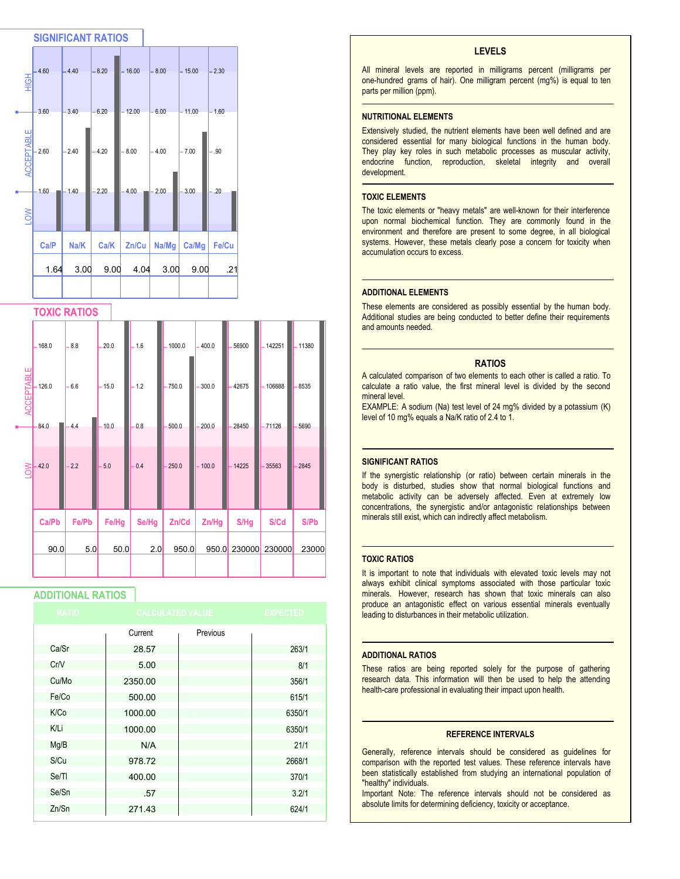

## **TOXIC RATIOS**

|                   | $-168.0$ | $-8.8$ | 20.0    | $-1.6$ | $-1000.0$ | $-400.0$ | 56900  | 142251   | $-11380$ |
|-------------------|----------|--------|---------|--------|-----------|----------|--------|----------|----------|
| <b>ACCEPTABLE</b> | 126.0    | $-6.6$ | $-15.0$ | $-1.2$ | $-750.0$  | $-300.0$ | 42675  | 106688   | 8535     |
|                   | $-84.0$  | 4.4    | 10.0    | 0.8    | 500.0     | 200.0    | 28450  | $-71126$ | 5690     |
| <b>NO</b>         | 42.0     | 2.2    | 5.0     | 0.4    | 250.0     | $-100.0$ | 14225  | 35563    | 2845     |
|                   |          |        |         |        |           |          |        |          |          |
|                   | Ca/Pb    | Fe/Pb  | Fe/Hg   | Se/Hg  | Zn/Cd     | Zn/Hg    | S/Hg   | S/Cd     | S/Pb     |
|                   | 90.0     | 5.0    | 50.0    | 2.0    | 950.0     | 950.0    | 230000 | 230000   | 23000    |
|                   |          |        |         |        |           |          |        |          |          |

# **ADDITIONAL RATIOS**

| <b>RATIO</b> | <b>CALCULATED VALUE</b> |          | <b>EXPECTED</b> |
|--------------|-------------------------|----------|-----------------|
|              | Current                 | Previous |                 |
| Ca/Sr        | 28.57                   |          | 263/1           |
| CrN          | 5.00                    |          | 8/1             |
| Cu/Mo        | 2350.00                 |          | 356/1           |
| Fe/Co        | 500.00                  |          | 615/1           |
| K/Co         | 1000.00                 |          | 6350/1          |
| K/Li         | 1000.00                 |          | 6350/1          |
| Mg/B         | N/A                     |          | 21/1            |
| S/Cu         | 978.72                  |          | 2668/1          |
| Se/TI        | 400.00                  |          | 370/1           |
| Se/Sn        | .57                     |          | 3.2/1           |
| Zn/Sn        | 271.43                  |          | 624/1           |

#### **LEVELS**

All mineral levels are reported in milligrams percent (milligrams per one-hundred grams of hair). One milligram percent (mg%) is equal to ten parts per million (ppm).

#### **NUTRITIONAL ELEMENTS**

Extensively studied, the nutrient elements have been well defined and are considered essential for many biological functions in the human body. They play key roles in such metabolic processes as muscular activity, endocrine function, reproduction, skeletal integrity and overall development.

#### **TOXIC ELEMENTS**

The toxic elements or "heavy metals" are well-known for their interference upon normal biochemical function. They are commonly found in the environment and therefore are present to some degree, in all biological systems. However, these metals clearly pose a concern for toxicity when accumulation occurs to excess.

#### **ADDITIONAL ELEMENTS**

These elements are considered as possibly essential by the human body. Additional studies are being conducted to better define their requirements and amounts needed.

#### **RATIOS**

A calculated comparison of two elements to each other is called a ratio. To calculate a ratio value, the first mineral level is divided by the second mineral level.

EXAMPLE: A sodium (Na) test level of 24 mg% divided by a potassium (K) level of 10 mg% equals a Na/K ratio of 2.4 to 1.

#### **SIGNIFICANT RATIOS**

If the synergistic relationship (or ratio) between certain minerals in the body is disturbed, studies show that normal biological functions and metabolic activity can be adversely affected. Even at extremely low concentrations, the synergistic and/or antagonistic relationships between minerals still exist, which can indirectly affect metabolism.

#### **TOXIC RATIOS**

It is important to note that individuals with elevated toxic levels may not always exhibit clinical symptoms associated with those particular toxic minerals. However, research has shown that toxic minerals can also produce an antagonistic effect on various essential minerals eventually leading to disturbances in their metabolic utilization.

#### **ADDITIONAL RATIOS**

These ratios are being reported solely for the purpose of gathering research data. This information will then be used to help the attending health-care professional in evaluating their impact upon health.

#### **REFERENCE INTERVALS**

Generally, reference intervals should be considered as guidelines for comparison with the reported test values. These reference intervals have been statistically established from studying an international population of "healthy" individuals.

Important Note: The reference intervals should not be considered as absolute limits for determining deficiency, toxicity or acceptance.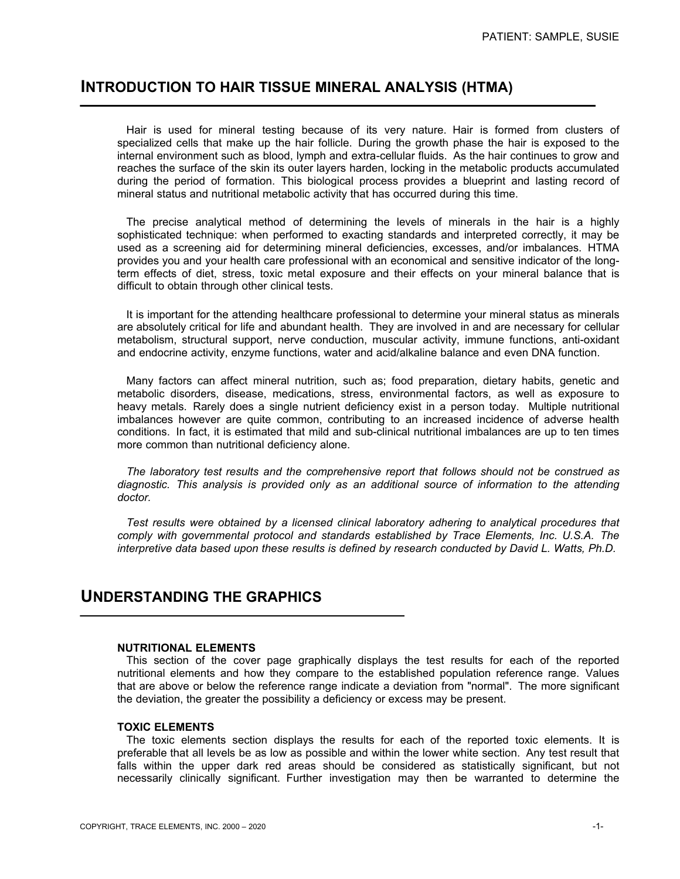# **INTRODUCTION TO HAIR TISSUE MINERAL ANALYSIS (HTMA)**

 Hair is used for mineral testing because of its very nature. Hair is formed from clusters of specialized cells that make up the hair follicle. During the growth phase the hair is exposed to the internal environment such as blood, lymph and extra-cellular fluids. As the hair continues to grow and reaches the surface of the skin its outer layers harden, locking in the metabolic products accumulated during the period of formation. This biological process provides a blueprint and lasting record of mineral status and nutritional metabolic activity that has occurred during this time.

 The precise analytical method of determining the levels of minerals in the hair is a highly sophisticated technique: when performed to exacting standards and interpreted correctly, it may be used as a screening aid for determining mineral deficiencies, excesses, and/or imbalances. HTMA provides you and your health care professional with an economical and sensitive indicator of the longterm effects of diet, stress, toxic metal exposure and their effects on your mineral balance that is difficult to obtain through other clinical tests.

 It is important for the attending healthcare professional to determine your mineral status as minerals are absolutely critical for life and abundant health. They are involved in and are necessary for cellular metabolism, structural support, nerve conduction, muscular activity, immune functions, anti-oxidant and endocrine activity, enzyme functions, water and acid/alkaline balance and even DNA function.

 Many factors can affect mineral nutrition, such as; food preparation, dietary habits, genetic and metabolic disorders, disease, medications, stress, environmental factors, as well as exposure to heavy metals. Rarely does a single nutrient deficiency exist in a person today. Multiple nutritional imbalances however are quite common, contributing to an increased incidence of adverse health conditions. In fact, it is estimated that mild and sub-clinical nutritional imbalances are up to ten times more common than nutritional deficiency alone.

 *The laboratory test results and the comprehensive report that follows should not be construed as diagnostic. This analysis is provided only as an additional source of information to the attending doctor.*

 *Test results were obtained by a licensed clinical laboratory adhering to analytical procedures that comply with governmental protocol and standards established by Trace Elements, Inc. U.S.A. The interpretive data based upon these results is defined by research conducted by David L. Watts, Ph.D.*

# **UNDERSTANDING THE GRAPHICS**

### **NUTRITIONAL ELEMENTS**

 This section of the cover page graphically displays the test results for each of the reported nutritional elements and how they compare to the established population reference range. Values that are above or below the reference range indicate a deviation from "normal". The more significant the deviation, the greater the possibility a deficiency or excess may be present.

### **TOXIC ELEMENTS**

 The toxic elements section displays the results for each of the reported toxic elements. It is preferable that all levels be as low as possible and within the lower white section. Any test result that falls within the upper dark red areas should be considered as statistically significant, but not necessarily clinically significant. Further investigation may then be warranted to determine the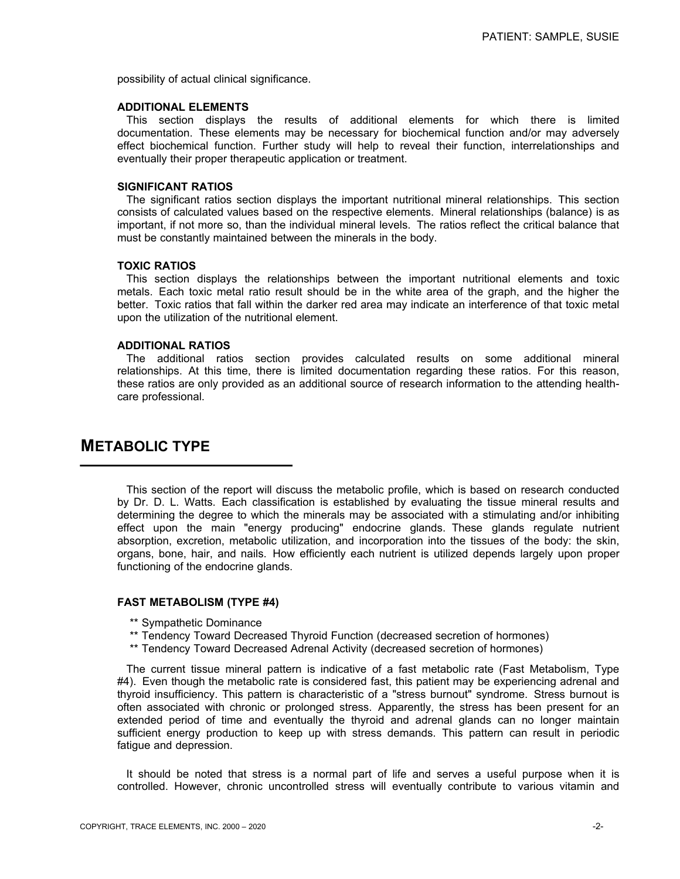possibility of actual clinical significance.

### **ADDITIONAL ELEMENTS**

 This section displays the results of additional elements for which there is limited documentation. These elements may be necessary for biochemical function and/or may adversely effect biochemical function. Further study will help to reveal their function, interrelationships and eventually their proper therapeutic application or treatment.

### **SIGNIFICANT RATIOS**

 The significant ratios section displays the important nutritional mineral relationships. This section consists of calculated values based on the respective elements. Mineral relationships (balance) is as important, if not more so, than the individual mineral levels. The ratios reflect the critical balance that must be constantly maintained between the minerals in the body.

### **TOXIC RATIOS**

 This section displays the relationships between the important nutritional elements and toxic metals. Each toxic metal ratio result should be in the white area of the graph, and the higher the better. Toxic ratios that fall within the darker red area may indicate an interference of that toxic metal upon the utilization of the nutritional element.

### **ADDITIONAL RATIOS**

 The additional ratios section provides calculated results on some additional mineral relationships. At this time, there is limited documentation regarding these ratios. For this reason, these ratios are only provided as an additional source of research information to the attending healthcare professional.

# **METABOLIC TYPE**

 This section of the report will discuss the metabolic profile, which is based on research conducted by Dr. D. L. Watts. Each classification is established by evaluating the tissue mineral results and determining the degree to which the minerals may be associated with a stimulating and/or inhibiting effect upon the main "energy producing" endocrine glands. These glands regulate nutrient absorption, excretion, metabolic utilization, and incorporation into the tissues of the body: the skin, organs, bone, hair, and nails. How efficiently each nutrient is utilized depends largely upon proper functioning of the endocrine glands.

#### **FAST METABOLISM (TYPE #4)**

- \*\* Sympathetic Dominance
- \*\* Tendency Toward Decreased Thyroid Function (decreased secretion of hormones)
- \*\* Tendency Toward Decreased Adrenal Activity (decreased secretion of hormones)

 The current tissue mineral pattern is indicative of a fast metabolic rate (Fast Metabolism, Type #4). Even though the metabolic rate is considered fast, this patient may be experiencing adrenal and thyroid insufficiency. This pattern is characteristic of a "stress burnout" syndrome. Stress burnout is often associated with chronic or prolonged stress. Apparently, the stress has been present for an extended period of time and eventually the thyroid and adrenal glands can no longer maintain sufficient energy production to keep up with stress demands. This pattern can result in periodic fatigue and depression.

 It should be noted that stress is a normal part of life and serves a useful purpose when it is controlled. However, chronic uncontrolled stress will eventually contribute to various vitamin and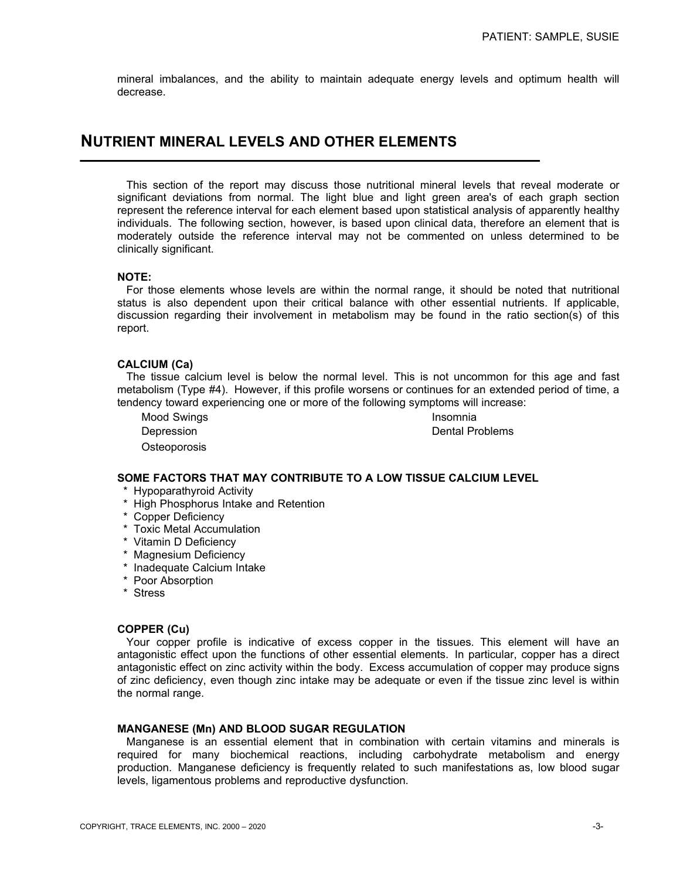mineral imbalances, and the ability to maintain adequate energy levels and optimum health will decrease.

# **NUTRIENT MINERAL LEVELS AND OTHER ELEMENTS**

 This section of the report may discuss those nutritional mineral levels that reveal moderate or significant deviations from normal. The light blue and light green area's of each graph section represent the reference interval for each element based upon statistical analysis of apparently healthy individuals. The following section, however, is based upon clinical data, therefore an element that is moderately outside the reference interval may not be commented on unless determined to be clinically significant.

## **NOTE:**

 For those elements whose levels are within the normal range, it should be noted that nutritional status is also dependent upon their critical balance with other essential nutrients. If applicable, discussion regarding their involvement in metabolism may be found in the ratio section(s) of this report.

## **CALCIUM (Ca)**

 The tissue calcium level is below the normal level. This is not uncommon for this age and fast metabolism (Type #4). However, if this profile worsens or continues for an extended period of time, a tendency toward experiencing one or more of the following symptoms will increase:

Mood Swings **Insomnia Osteoporosis** 

Depression **Depression Dental Problems** 

# **SOME FACTORS THAT MAY CONTRIBUTE TO A LOW TISSUE CALCIUM LEVEL**

- \* Hypoparathyroid Activity
- \* High Phosphorus Intake and Retention
- \* Copper Deficiency
- \* Toxic Metal Accumulation
- \* Vitamin D Deficiency
- \* Magnesium Deficiency
- \* Inadequate Calcium Intake
- \* Poor Absorption
- \* Stress

### **COPPER (Cu)**

 Your copper profile is indicative of excess copper in the tissues. This element will have an antagonistic effect upon the functions of other essential elements. In particular, copper has a direct antagonistic effect on zinc activity within the body. Excess accumulation of copper may produce signs of zinc deficiency, even though zinc intake may be adequate or even if the tissue zinc level is within the normal range.

### **MANGANESE (Mn) AND BLOOD SUGAR REGULATION**

 Manganese is an essential element that in combination with certain vitamins and minerals is required for many biochemical reactions, including carbohydrate metabolism and energy production. Manganese deficiency is frequently related to such manifestations as, low blood sugar levels, ligamentous problems and reproductive dysfunction.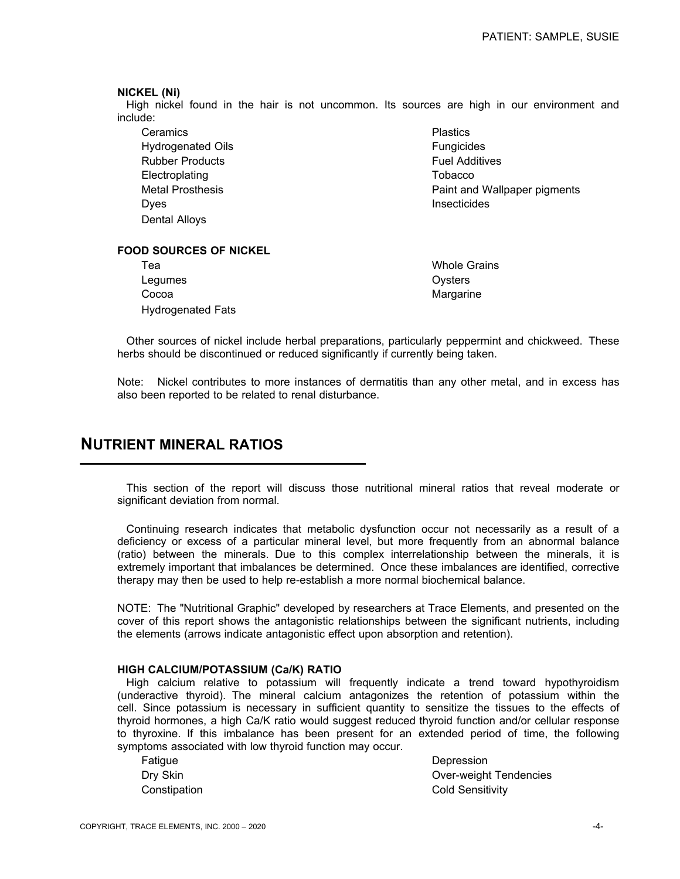### **NICKEL (Ni)**

 High nickel found in the hair is not uncommon. Its sources are high in our environment and include:

**Ceramics Plastics** Hydrogenated Oils **Fungicides** Rubber Products **Fuel Additives** Fuel Additives Electroplating Tobacco Dyes and the contract of the contract of the contract of the contract of the contract of the contract of the contract of the contract of the contract of the contract of the contract of the contract of the contract of the c Dental Alloys

Metal Prosthesis **Paint and Wallpaper pigments** Paint and Wallpaper pigments

# **FOOD SOURCES OF NICKEL**

 Tea Whole Grains Legumes **Contract Contract Contract Contract Contract Contract Contract Contract Contract Contract Contract Contract Contract Contract Contract Contract Contract Contract Contract Contract Contract Contract Contract Contra** Cocoa Margarine Hydrogenated Fats

 Other sources of nickel include herbal preparations, particularly peppermint and chickweed. These herbs should be discontinued or reduced significantly if currently being taken.

Note: Nickel contributes to more instances of dermatitis than any other metal, and in excess has also been reported to be related to renal disturbance.

# **NUTRIENT MINERAL RATIOS**

 This section of the report will discuss those nutritional mineral ratios that reveal moderate or significant deviation from normal.

 Continuing research indicates that metabolic dysfunction occur not necessarily as a result of a deficiency or excess of a particular mineral level, but more frequently from an abnormal balance (ratio) between the minerals. Due to this complex interrelationship between the minerals, it is extremely important that imbalances be determined. Once these imbalances are identified, corrective therapy may then be used to help re-establish a more normal biochemical balance.

NOTE: The "Nutritional Graphic" developed by researchers at Trace Elements, and presented on the cover of this report shows the antagonistic relationships between the significant nutrients, including the elements (arrows indicate antagonistic effect upon absorption and retention).

## **HIGH CALCIUM/POTASSIUM (Ca/K) RATIO**

 High calcium relative to potassium will frequently indicate a trend toward hypothyroidism (underactive thyroid). The mineral calcium antagonizes the retention of potassium within the cell. Since potassium is necessary in sufficient quantity to sensitize the tissues to the effects of thyroid hormones, a high Ca/K ratio would suggest reduced thyroid function and/or cellular response to thyroxine. If this imbalance has been present for an extended period of time, the following symptoms associated with low thyroid function may occur.

Fatigue Depression

Dry Skin **Driverse Contract Contract Contract Contract Contract Contract Contract Contract Contract Contract Contract Contract Contract Contract Contract Contract Contract Contract Contract Contract Contract Contract Contr** Constipation Constitution Cold Sensitivity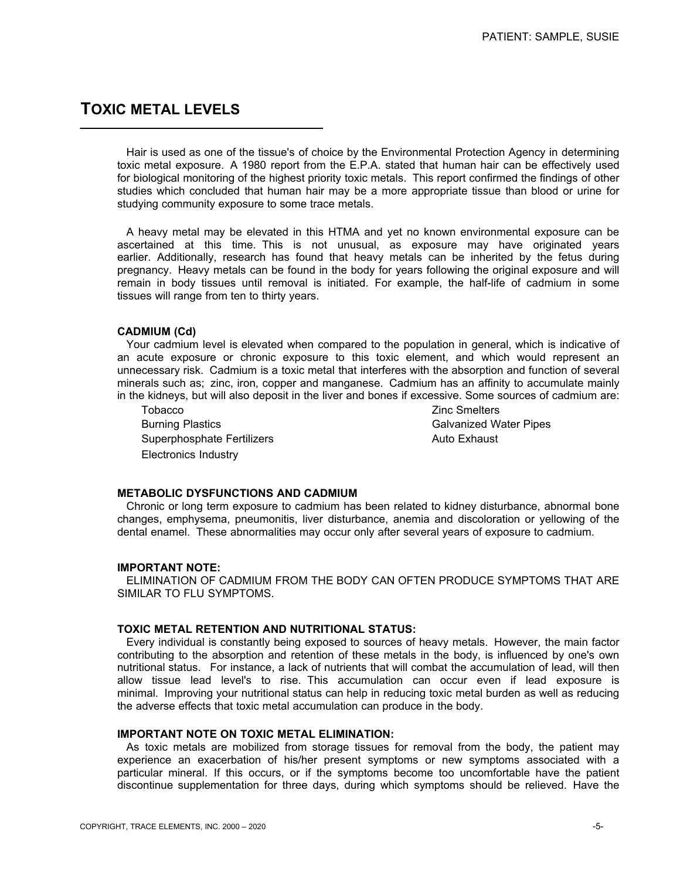# **TOXIC METAL LEVELS**

 Hair is used as one of the tissue's of choice by the Environmental Protection Agency in determining toxic metal exposure. A 1980 report from the E.P.A. stated that human hair can be effectively used for biological monitoring of the highest priority toxic metals. This report confirmed the findings of other studies which concluded that human hair may be a more appropriate tissue than blood or urine for studying community exposure to some trace metals.

 A heavy metal may be elevated in this HTMA and yet no known environmental exposure can be ascertained at this time. This is not unusual, as exposure may have originated years earlier. Additionally, research has found that heavy metals can be inherited by the fetus during pregnancy. Heavy metals can be found in the body for years following the original exposure and will remain in body tissues until removal is initiated. For example, the half-life of cadmium in some tissues will range from ten to thirty years.

## **CADMIUM (Cd)**

 Your cadmium level is elevated when compared to the population in general, which is indicative of an acute exposure or chronic exposure to this toxic element, and which would represent an unnecessary risk. Cadmium is a toxic metal that interferes with the absorption and function of several minerals such as; zinc, iron, copper and manganese. Cadmium has an affinity to accumulate mainly in the kidneys, but will also deposit in the liver and bones if excessive. Some sources of cadmium are:

Tobacco **Zinc Smelters**  Burning Plastics Galvanized Water Pipes Superphosphate Fertilizers **Auto Exhaust** Auto Exhaust Electronics Industry

#### **METABOLIC DYSFUNCTIONS AND CADMIUM**

 Chronic or long term exposure to cadmium has been related to kidney disturbance, abnormal bone changes, emphysema, pneumonitis, liver disturbance, anemia and discoloration or yellowing of the dental enamel. These abnormalities may occur only after several years of exposure to cadmium.

# **IMPORTANT NOTE:**

 ELIMINATION OF CADMIUM FROM THE BODY CAN OFTEN PRODUCE SYMPTOMS THAT ARE SIMILAR TO FLU SYMPTOMS.

## **TOXIC METAL RETENTION AND NUTRITIONAL STATUS:**

 Every individual is constantly being exposed to sources of heavy metals. However, the main factor contributing to the absorption and retention of these metals in the body, is influenced by one's own nutritional status. For instance, a lack of nutrients that will combat the accumulation of lead, will then allow tissue lead level's to rise. This accumulation can occur even if lead exposure is minimal. Improving your nutritional status can help in reducing toxic metal burden as well as reducing the adverse effects that toxic metal accumulation can produce in the body.

# **IMPORTANT NOTE ON TOXIC METAL ELIMINATION:**

 As toxic metals are mobilized from storage tissues for removal from the body, the patient may experience an exacerbation of his/her present symptoms or new symptoms associated with a particular mineral. If this occurs, or if the symptoms become too uncomfortable have the patient discontinue supplementation for three days, during which symptoms should be relieved. Have the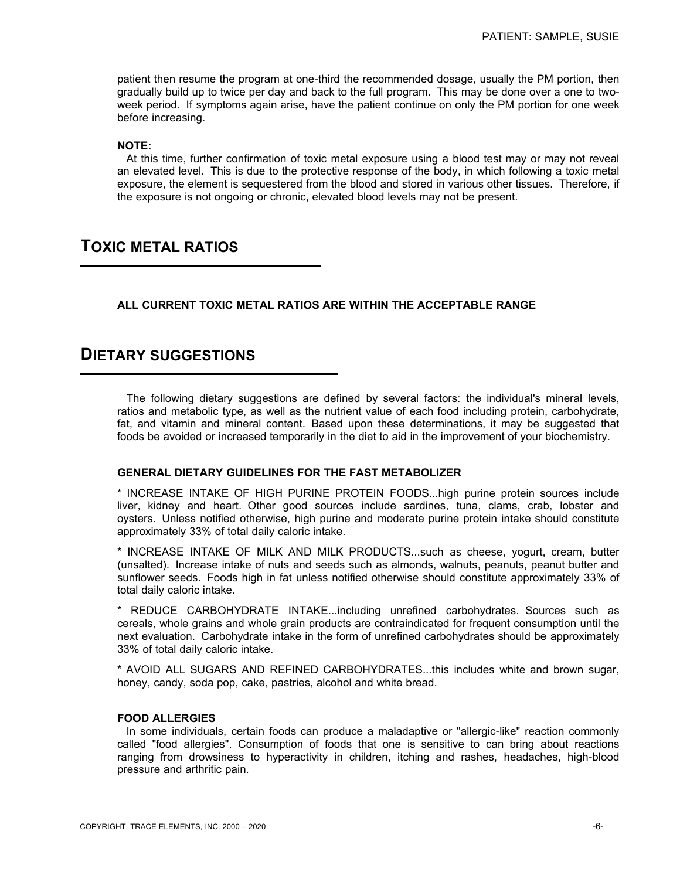patient then resume the program at one-third the recommended dosage, usually the PM portion, then gradually build up to twice per day and back to the full program. This may be done over a one to twoweek period. If symptoms again arise, have the patient continue on only the PM portion for one week before increasing.

# **NOTE:**

 At this time, further confirmation of toxic metal exposure using a blood test may or may not reveal an elevated level. This is due to the protective response of the body, in which following a toxic metal exposure, the element is sequestered from the blood and stored in various other tissues. Therefore, if the exposure is not ongoing or chronic, elevated blood levels may not be present.

# **TOXIC METAL RATIOS**

# **ALL CURRENT TOXIC METAL RATIOS ARE WITHIN THE ACCEPTABLE RANGE**

# **DIETARY SUGGESTIONS**

 The following dietary suggestions are defined by several factors: the individual's mineral levels, ratios and metabolic type, as well as the nutrient value of each food including protein, carbohydrate, fat, and vitamin and mineral content. Based upon these determinations, it may be suggested that foods be avoided or increased temporarily in the diet to aid in the improvement of your biochemistry.

## **GENERAL DIETARY GUIDELINES FOR THE FAST METABOLIZER**

\* INCREASE INTAKE OF HIGH PURINE PROTEIN FOODS...high purine protein sources include liver, kidney and heart. Other good sources include sardines, tuna, clams, crab, lobster and oysters. Unless notified otherwise, high purine and moderate purine protein intake should constitute approximately 33% of total daily caloric intake.

\* INCREASE INTAKE OF MILK AND MILK PRODUCTS...such as cheese, yogurt, cream, butter (unsalted). Increase intake of nuts and seeds such as almonds, walnuts, peanuts, peanut butter and sunflower seeds. Foods high in fat unless notified otherwise should constitute approximately 33% of total daily caloric intake.

\* REDUCE CARBOHYDRATE INTAKE...including unrefined carbohydrates. Sources such as cereals, whole grains and whole grain products are contraindicated for frequent consumption until the next evaluation. Carbohydrate intake in the form of unrefined carbohydrates should be approximately 33% of total daily caloric intake.

\* AVOID ALL SUGARS AND REFINED CARBOHYDRATES...this includes white and brown sugar, honey, candy, soda pop, cake, pastries, alcohol and white bread.

## **FOOD ALLERGIES**

 In some individuals, certain foods can produce a maladaptive or "allergic-like" reaction commonly called "food allergies". Consumption of foods that one is sensitive to can bring about reactions ranging from drowsiness to hyperactivity in children, itching and rashes, headaches, high-blood pressure and arthritic pain.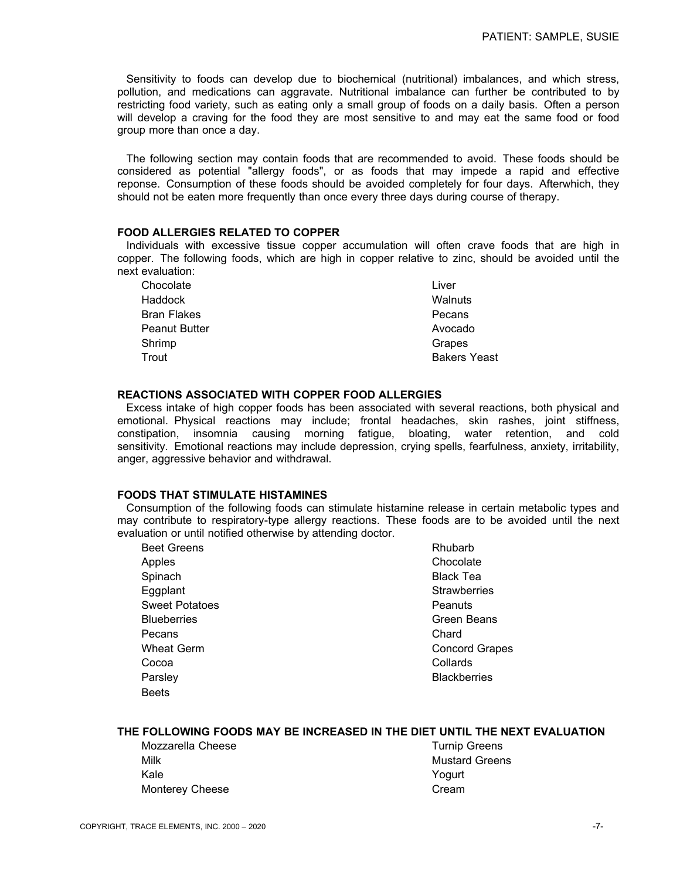Sensitivity to foods can develop due to biochemical (nutritional) imbalances, and which stress, pollution, and medications can aggravate. Nutritional imbalance can further be contributed to by restricting food variety, such as eating only a small group of foods on a daily basis. Often a person will develop a craving for the food they are most sensitive to and may eat the same food or food group more than once a day.

 The following section may contain foods that are recommended to avoid. These foods should be considered as potential "allergy foods", or as foods that may impede a rapid and effective reponse. Consumption of these foods should be avoided completely for four days. Afterwhich, they should not be eaten more frequently than once every three days during course of therapy.

## **FOOD ALLERGIES RELATED TO COPPER**

 Individuals with excessive tissue copper accumulation will often crave foods that are high in copper. The following foods, which are high in copper relative to zinc, should be avoided until the next evaluation:

| Chocolate            | Liver               |
|----------------------|---------------------|
| Haddock              | Walnuts             |
| <b>Bran Flakes</b>   | Pecans              |
| <b>Peanut Butter</b> | Avocado             |
| Shrimp               | Grapes              |
| Trout                | <b>Bakers Yeast</b> |
|                      |                     |

## **REACTIONS ASSOCIATED WITH COPPER FOOD ALLERGIES**

 Excess intake of high copper foods has been associated with several reactions, both physical and emotional. Physical reactions may include; frontal headaches, skin rashes, joint stiffness, constipation, insomnia causing morning fatigue, bloating, water retention, and cold sensitivity. Emotional reactions may include depression, crying spells, fearfulness, anxiety, irritability, anger, aggressive behavior and withdrawal.

# **FOODS THAT STIMULATE HISTAMINES**

 Consumption of the following foods can stimulate histamine release in certain metabolic types and may contribute to respiratory-type allergy reactions. These foods are to be avoided until the next evaluation or until notified otherwise by attending doctor.

| <b>Beet Greens</b>    | Rhubarb               |
|-----------------------|-----------------------|
| Apples                | Chocolate             |
| Spinach               | <b>Black Tea</b>      |
| Eggplant              | <b>Strawberries</b>   |
| <b>Sweet Potatoes</b> | Peanuts               |
| <b>Blueberries</b>    | Green Beans           |
| Pecans                | Chard                 |
| <b>Wheat Germ</b>     | <b>Concord Grapes</b> |
| Cocoa                 | Collards              |
| Parsley               | <b>Blackberries</b>   |
| <b>Beets</b>          |                       |
|                       |                       |

# **THE FOLLOWING FOODS MAY BE INCREASED IN THE DIET UNTIL THE NEXT EVALUATION**

| I urnip |
|---------|
| Mustar  |
| Yogurt  |
| Cream   |
|         |

e **Mozzarella Cheese Turnip Greens Mustard Greens**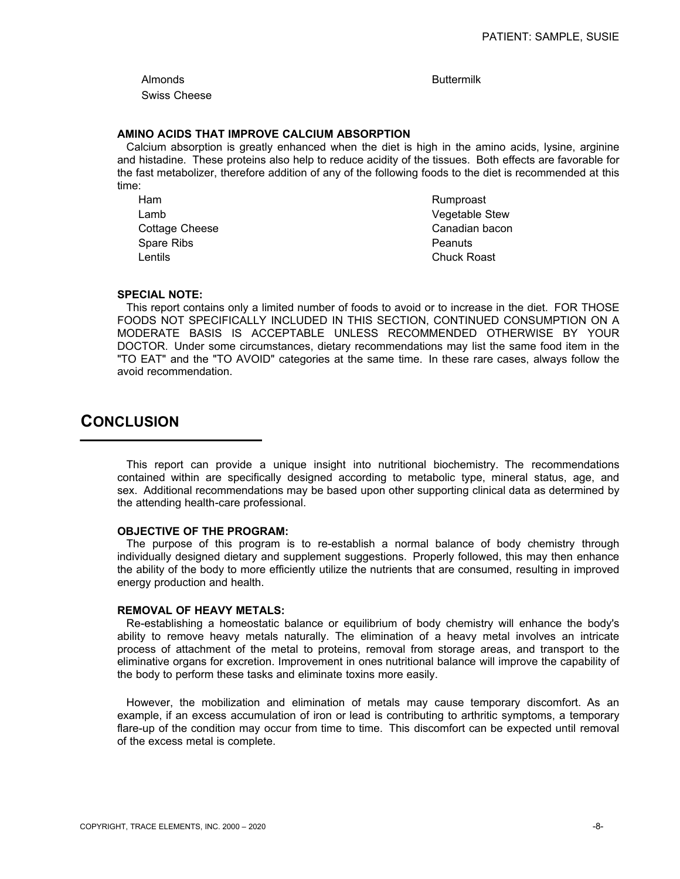Almonds **Buttermilk** Swiss Cheese

# **AMINO ACIDS THAT IMPROVE CALCIUM ABSORPTION**

 Calcium absorption is greatly enhanced when the diet is high in the amino acids, lysine, arginine and histadine. These proteins also help to reduce acidity of the tissues. Both effects are favorable for the fast metabolizer, therefore addition of any of the following foods to the diet is recommended at this time:

Ham Rumproast Spare Ribs **Peanuts** Lentils Chuck Roast

Lamb **Vegetable Stew** Cottage Cheese **Canadian bacon** Canadian bacon

# **SPECIAL NOTE:**

 This report contains only a limited number of foods to avoid or to increase in the diet. FOR THOSE FOODS NOT SPECIFICALLY INCLUDED IN THIS SECTION, CONTINUED CONSUMPTION ON A MODERATE BASIS IS ACCEPTABLE UNLESS RECOMMENDED OTHERWISE BY YOUR DOCTOR. Under some circumstances, dietary recommendations may list the same food item in the "TO EAT" and the "TO AVOID" categories at the same time. In these rare cases, always follow the avoid recommendation.

# **CONCLUSION**

 This report can provide a unique insight into nutritional biochemistry. The recommendations contained within are specifically designed according to metabolic type, mineral status, age, and sex. Additional recommendations may be based upon other supporting clinical data as determined by the attending health-care professional.

## **OBJECTIVE OF THE PROGRAM:**

 The purpose of this program is to re-establish a normal balance of body chemistry through individually designed dietary and supplement suggestions. Properly followed, this may then enhance the ability of the body to more efficiently utilize the nutrients that are consumed, resulting in improved energy production and health.

# **REMOVAL OF HEAVY METALS:**

 Re-establishing a homeostatic balance or equilibrium of body chemistry will enhance the body's ability to remove heavy metals naturally. The elimination of a heavy metal involves an intricate process of attachment of the metal to proteins, removal from storage areas, and transport to the eliminative organs for excretion. Improvement in ones nutritional balance will improve the capability of the body to perform these tasks and eliminate toxins more easily.

 However, the mobilization and elimination of metals may cause temporary discomfort. As an example, if an excess accumulation of iron or lead is contributing to arthritic symptoms, a temporary flare-up of the condition may occur from time to time. This discomfort can be expected until removal of the excess metal is complete.